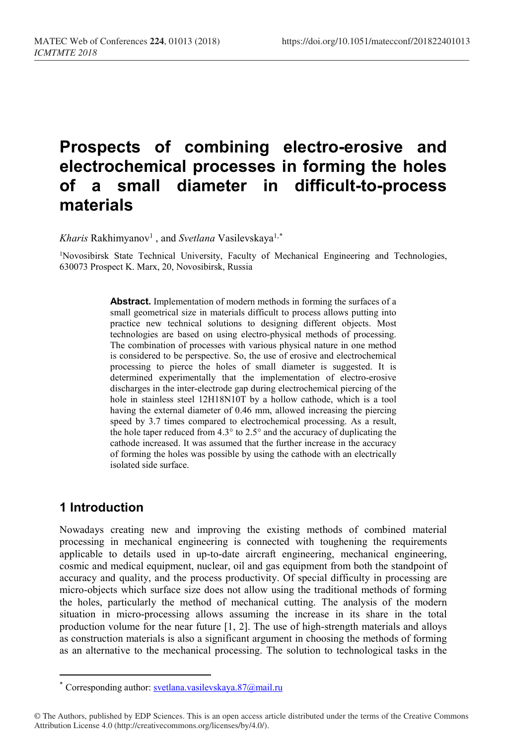# **Рrospects of combining electro-erosive and electrochemical processes in forming the holes of a small diameter in difficult-to-process materials**

*Kharis* Rakhimyanov<sup>1</sup>, and *Svetlana* Vasilevskaya<sup>1,[\\*](#page-0-0)</sup>

<sup>1</sup>Novosibirsk State Technical University, Faculty of Mechanical Engineering and Technologies, 630073 Prospect K. Marx, 20, Novosibirsk, Russia

> **Abstract.** Implementation of modern methods in forming the surfaces of a small geometrical size in materials difficult to process allows putting into practice new technical solutions to designing different objects. Most technologies are based on using electro-physical methods of processing. The combination of processes with various physical nature in one method is considered to be perspective. So, the use of erosive and electrochemical processing to pierce the holes of small diameter is suggested. It is determined experimentally that the implementation of electro-erosive discharges in the inter-electrode gap during electrochemical piercing of the hole in stainless steel 12H18N10T by a hollow cathode, which is a tool having the external diameter of 0.46 mm, allowed increasing the piercing speed by 3.7 times compared to electrochemical processing. As a result, the hole taper reduced from 4.3° to 2.5° and the accuracy of duplicating the cathode increased. It was assumed that the further increase in the accuracy of forming the holes was possible by using the cathode with an electrically isolated side surface.

# **1 Introduction**

 $\overline{a}$ 

Nowadays creating new and improving the existing methods of combined material processing in mechanical engineering is connected with toughening the requirements applicable to details used in up-to-date aircraft engineering, mechanical engineering, cosmic and medical equipment, nuclear, oil and gas equipment from both the standpoint of accuracy and quality, and the process productivity. Of special difficulty in processing are micro-objects which surface size does not allow using the traditional methods of forming the holes, particularly the method of mechanical cutting. The analysis of the modern situation in micro-processing allows assuming the increase in its share in the total production volume for the near future  $[1, 2]$ . The use of high-strength materials and alloys as construction materials is also a significant argument in choosing the methods of forming as an alternative to the mechanical processing. The solution to technological tasks in the

<sup>\*</sup> Corresponding author: svetlana.vasilevskaya.87@mail.ru

<span id="page-0-0"></span><sup>©</sup> The Authors, published by EDP Sciences. This is an open access article distributed under the terms of the Creative Commons Attribution License 4.0 (http://creativecommons.org/licenses/by/4.0/).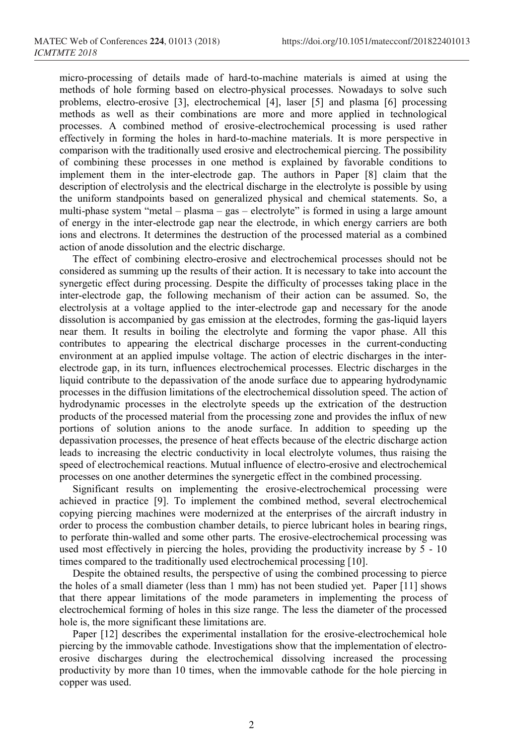micro-processing of details made of hard-to-machine materials is aimed at using the methods of hole forming based on electro-physical processes. Nowadays to solve such problems, electro-erosive [3], electrochemical [4], laser [5] and plasma [6] processing methods as well as their combinations are more and more applied in technological processes. A combined method of erosive-electrochemical processing is used rather effectively in forming the holes in hard-to-machine materials. It is more perspective in comparison with the traditionally used erosive and electrochemical piercing. The possibility of combining these processes in one method is explained by favorable conditions to implement them in the inter-electrode gap. The authors in Paper [8] claim that the description of electrolysis and the electrical discharge in the electrolyte is possible by using the uniform standpoints based on generalized physical and chemical statements. So, a multi-phase system "metal – plasma – gas – electrolyte" is formed in using a large amount of energy in the inter-electrode gap near the electrode, in which energy carriers are both ions and electrons. It determines the destruction of the processed material as a combined action of anode dissolution and the electric discharge.

 The effect of combining electro-erosive and electrochemical processes should not be considered as summing up the results of their action. It is necessary to take into account the synergetic effect during processing. Despite the difficulty of processes taking place in the inter-electrode gap, the following mechanism of their action can be assumed. So, the electrolysis at a voltage applied to the inter-electrode gap and necessary for the anode dissolution is accompanied by gas emission at the electrodes, forming the gas-liquid layers near them. It results in boiling the electrolyte and forming the vapor phase. All this contributes to appearing the electrical discharge processes in the current-conducting environment at an applied impulse voltage. The action of electric discharges in the interelectrode gap, in its turn, influences electrochemical processes. Electric discharges in the liquid contribute to the depassivation of the anode surface due to appearing hydrodynamic processes in the diffusion limitations of the electrochemical dissolution speed. The action of hydrodynamic processes in the electrolyte speeds up the extrication of the destruction products of the processed material from the processing zone and provides the influx of new portions of solution anions to the anode surface. In addition to speeding up the depassivation processes, the presence of heat effects because of the electric discharge action leads to increasing the electric conductivity in local electrolyte volumes, thus raising the speed of electrochemical reactions. Mutual influence of electro-erosive and electrochemical processes on one another determines the synergetic effect in the combined processing.

 Significant results on implementing the erosive-electrochemical processing were achieved in practice [9]. To implement the combined method, several electrochemical copying piercing machines were modernized at the enterprises of the aircraft industry in order to process the combustion chamber details, to pierce lubricant holes in bearing rings, to perforate thin-walled and some other parts. The erosive-electrochemical processing was used most effectively in piercing the holes, providing the productivity increase by 5 - 10 times compared to the traditionally used electrochemical processing [10].

 Despite the obtained results, the perspective of using the combined processing to pierce the holes of a small diameter (less than 1 mm) has not been studied yet. Paper [11] shows that there appear limitations of the mode parameters in implementing the process of electrochemical forming of holes in this size range. The less the diameter of the processed hole is, the more significant these limitations are.

Paper [12] describes the experimental installation for the erosive-electrochemical hole piercing by the immovable cathode. Investigations show that the implementation of electroerosive discharges during the electrochemical dissolving increased the processing productivity by more than 10 times, when the immovable cathode for the hole piercing in copper was used.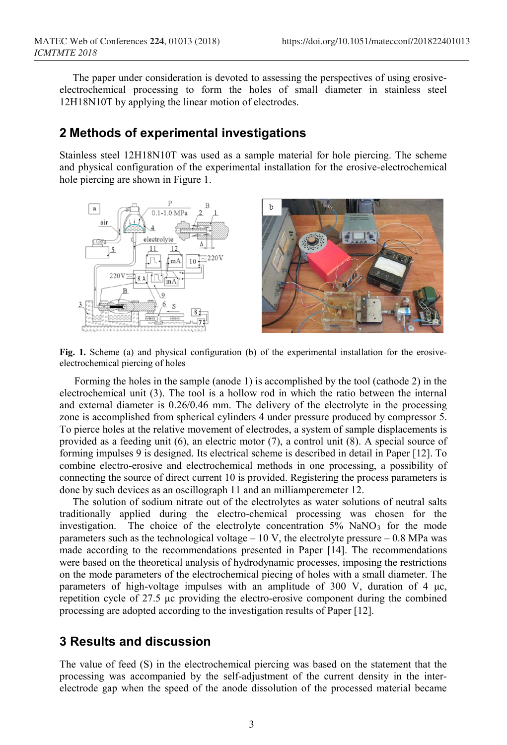The paper under consideration is devoted to assessing the perspectives of using erosiveelectrochemical processing to form the holes of small diameter in stainless steel 12H18N10T by applying the linear motion of electrodes.

#### **2 Methods of experimental investigations**

Stainless steel 12H18N10T was used as a sample material for hole piercing. The scheme and physical configuration of the experimental installation for the erosive-electrochemical hole piercing are shown in Figure 1.



**Fig. 1.** Scheme (a) and physical configuration (b) of the experimental installation for the erosiveelectrochemical piercing of holes

Forming the holes in the sample (anode 1) is accomplished by the tool (cathode 2) in the electrochemical unit (3). The tool is a hollow rod in which the ratio between the internal and external diameter is 0.26/0.46 mm. The delivery of the electrolyte in the processing zone is accomplished from spherical cylinders 4 under pressure produced by compressor 5. To pierce holes at the relative movement of electrodes, a system of sample displacements is provided as a feeding unit (6), an electric motor (7), a control unit (8). A special source of forming impulses 9 is designed. Its electrical scheme is described in detail in Paper [12]. To combine electro-erosive and electrochemical methods in one processing, a possibility of connecting the source of direct current 10 is provided. Registering the process parameters is done by such devices as an oscillograph 11 and an milliamperemeter 12.

 The solution of sodium nitrate out of the electrolytes as water solutions of neutral salts traditionally applied during the electro-chemical processing was chosen for the investigation. The choice of the electrolyte concentration  $5\%$  NaNO<sub>3</sub> for the mode parameters such as the technological voltage  $-10$  V, the electrolyte pressure  $-0.8$  MPa was made according to the recommendations presented in Paper [14]. The recommendations were based on the theoretical analysis of hydrodynamic processes, imposing the restrictions on the mode parameters of the electrochemical piecing of holes with a small diameter. The parameters of high-voltage impulses with an amplitude of 300 V, duration of 4 μc, repetition cycle of 27.5 μc providing the electro-erosive component during the combined processing are adopted according to the investigation results of Paper [12].

## **3 Results and discussion**

The value of feed (S) in the electrochemical piercing was based on the statement that the processing was accompanied by the self-adjustment of the current density in the interelectrode gap when the speed of the anode dissolution of the processed material became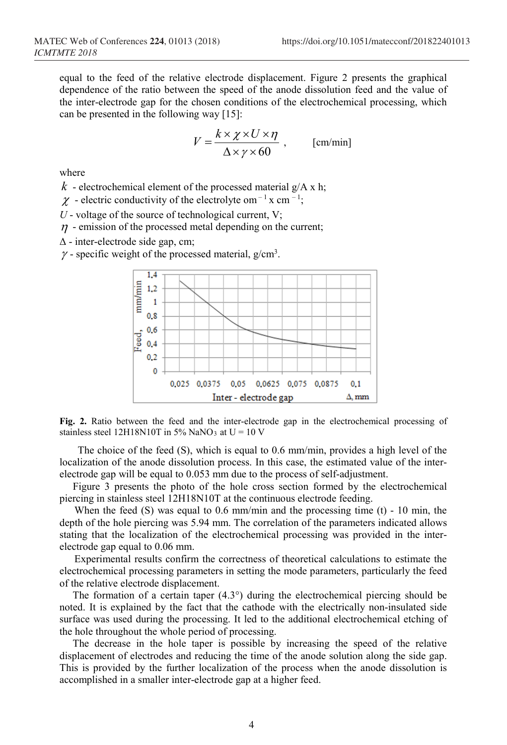equal to the feed of the relative electrode displacement. Figure 2 presents the graphical dependence of the ratio between the speed of the anode dissolution feed and the value of the inter-electrode gap for the chosen conditions of the electrochemical processing, which can be presented in the following way [15]:

$$
V = \frac{k \times \chi \times U \times \eta}{\Delta \times \gamma \times 60} , \quad \text{[cm/min]}
$$

where

 $k$  - electrochemical element of the processed material  $g/A x h$ ;

 $\chi$  - electric conductivity of the electrolyte om<sup>-1</sup> x cm<sup>-1</sup>;

*U* - voltage of the source of technological current, V;

 $\eta$  - emission of the processed metal depending on the current;

Δ - inter-electrode side gap, cm;

 $\gamma$  - specific weight of the processed material, g/cm<sup>3</sup>.



**Fig. 2.** Ratio between the feed and the inter-electrode gap in the electrochemical processing of stainless steel 12H18N10T in 5% NaNO<sub>3</sub> at  $U = 10$  V

 The choice of the feed (S), which is equal to 0.6 mm/min, provides a high level of the localization of the anode dissolution process. In this case, the estimated value of the interelectrode gap will be equal to 0.053 mm due to the process of self-adjustment.

 Figure 3 presents the photo of the hole cross section formed by the electrochemical piercing in stainless steel 12H18N10T at the continuous electrode feeding.

When the feed  $(S)$  was equal to 0.6 mm/min and the processing time  $(t)$  - 10 min, the depth of the hole piercing was 5.94 mm. The correlation of the parameters indicated allows stating that the localization of the electrochemical processing was provided in the interelectrode gap equal to 0.06 mm.

Experimental results confirm the correctness of theoretical calculations to estimate the electrochemical processing parameters in setting the mode parameters, particularly the feed of the relative electrode displacement.

The formation of a certain taper  $(4.3^{\circ})$  during the electrochemical piercing should be noted. It is explained by the fact that the cathode with the electrically non-insulated side surface was used during the processing. It led to the additional electrochemical etching of the hole throughout the whole period of processing.

 The decrease in the hole taper is possible by increasing the speed of the relative displacement of electrodes and reducing the time of the anode solution along the side gap. This is provided by the further localization of the process when the anode dissolution is accomplished in a smaller inter-electrode gap at a higher feed.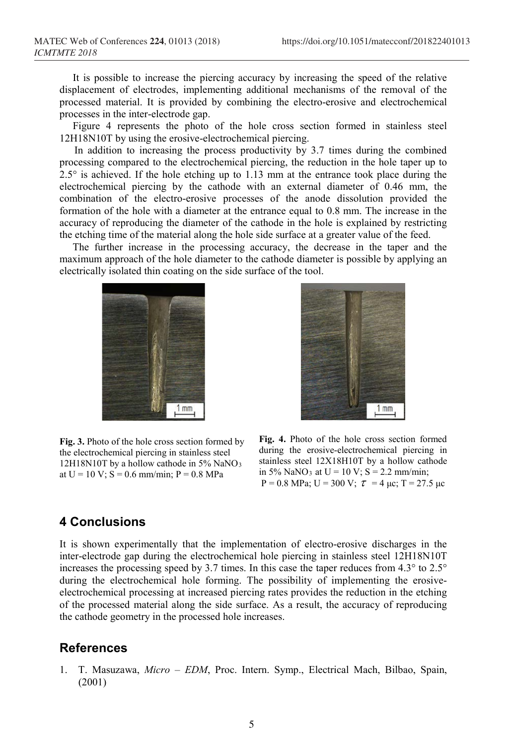It is possible to increase the piercing accuracy by increasing the speed of the relative displacement of electrodes, implementing additional mechanisms of the removal of the processed material. It is provided by combining the electro-erosive and electrochemical processes in the inter-electrode gap.

 Figure 4 represents the photo of the hole cross section formed in stainless steel 12H18N10T by using the erosive-electrochemical piercing.

In addition to increasing the process productivity by 3.7 times during the combined processing compared to the electrochemical piercing, the reduction in the hole taper up to  $2.5^\circ$  is achieved. If the hole etching up to 1.13 mm at the entrance took place during the electrochemical piercing by the cathode with an external diameter of 0.46 mm, the combination of the electro-erosive processes of the anode dissolution provided the formation of the hole with a diameter at the entrance equal to 0.8 mm. The increase in the accuracy of reproducing the diameter of the cathode in the hole is explained by restricting the etching time of the material along the hole side surface at a greater value of the feed.

 The further increase in the processing accuracy, the decrease in the taper and the maximum approach of the hole diameter to the cathode diameter is possible by applying an electrically isolated thin coating on the side surface of the tool.





**Fig. 3.** Photo of the hole cross section formed by the electrochemical piercing in stainless steel 12H18N10T by a hollow cathode in 5% NaNO3 at  $U = 10 V$ ; S = 0.6 mm/min; P = 0.8 MPa

**Fig. 4.** Photo of the hole cross section formed during the erosive-electrochemical piercing in stainless steel 12X18H10T by a hollow cathode in 5% NaNO<sub>3</sub> at U = 10 V; S = 2.2 mm/min; P = 0.8 MPa; U = 300 V;  $\tau$  = 4 μc; T = 27.5 μc

### **4 Conclusions**

It is shown experimentally that the implementation of electro-erosive discharges in the inter-electrode gap during the electrochemical hole piercing in stainless steel 12H18N10T increases the processing speed by 3.7 times. In this case the taper reduces from  $4.3^{\circ}$  to  $2.5^{\circ}$ during the electrochemical hole forming. The possibility of implementing the erosiveelectrochemical processing at increased piercing rates provides the reduction in the etching of the processed material along the side surface. As a result, the accuracy of reproducing the cathode geometry in the processed hole increases.

#### **References**

1. Т. Masuzawa, *Micro – EDM*, Proc. Intern. Symp., Electrical Mach, Bilbao, Spain, (2001)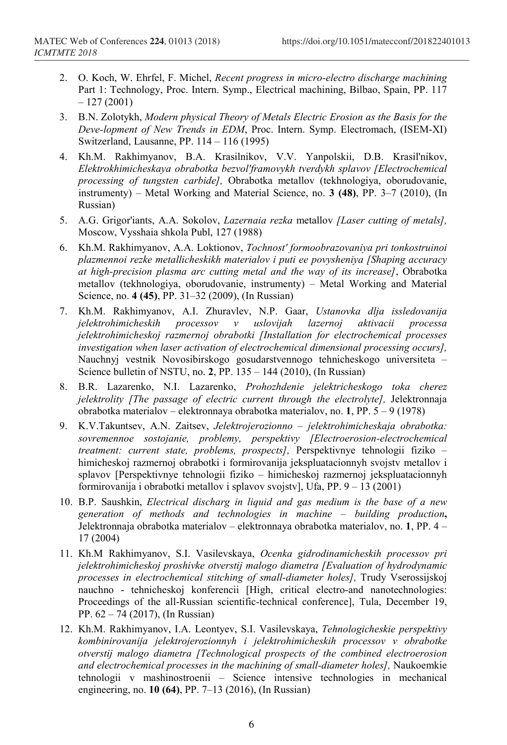- 2. O. Koch, W. Ehrfel, F. Michel, *Recent progress in micro-electro discharge machining* Part 1: Technology, Proc. Intern. Symp., Electrical machining, Bilbao, Spain, PP. 117  $-127(2001)$
- 3. B.N. Zolotykh, *Modern physical Theory of Metals Electric Erosion as the Basis for the Deve-lopment of New Trends in EDM*, Proc. Intern. Symp. Electromach, (ISEM-XI) Switzerland, Lausanne, РР. 114 – 116 (1995)
- 4. Kh.M. Rakhimyanov, B.A. Krasilnikov, V.V. Yanpolskii, D.B. Krasil'nikov, *Elektrokhimicheskaya obrabotka bezvol'framovykh tverdykh splavov [Electrochemical processing of tungsten carbide],* Obrabotka metallov (tekhnologiya, oborudovanie, instrumenty) – Metal Working and Material Science, no. **3 (48)**, РР. 3–7 (2010), (In Russian)
- 5. A.G. Grigor'iants, A.A. Sokolov, *Lazernaia rezka* metallov *[Laser cutting of metals],* Moscow, Vysshaia shkola Publ, 127 (1988)
- 6. Kh.M. Rakhimyanov, A.A. Loktionov, *Tochnost' formoobrazovaniya pri tonkostruinoi plazmennoi rezke metallicheskikh materialov i puti ee povysheniya [Shaping accuracy at high-precision plasma arc cutting metal and the way of its increase]*, Obrabotka metallov (tekhnologiya, oborudovanie, instrumenty) – Metal Working and Material Science, no. **4 (45)**, РР. 31–32 (2009), (In Russian)
- 7. Kh.M. Rakhimyanov, A.I. Zhuravlev, N.P. Gaar, *Ustanovka dlja issledovanija jelektrohimicheskih processov v uslovijah lazernoj aktivacii processa jelektrohimicheskoj razmernoj obrabotki [Installation for electrochemical processes investigation when laser activation of electrochemical dimensional processing occurs],* Nauchnyj vestnik Novosibirskogo gosudarstvennogo tehnicheskogo universiteta – Science bulletin of NSTU, no. **2**, РР. 135 – 144 (2010), (In Russian)
- 8. B.R. Lazarenko, N.I. Lazarenko, *Prohozhdenie jelektricheskogo toka cherez jelektrolity [The passage of electric current through the electrolyte],* Jelektronnaja obrabotka materialov – elektronnaya obrabotka materialov, no. **1**, РР. 5 – 9 (1978)
- 9. K.V.Takuntsev, A.N. Zaitsev, *Jelektrojerozionno – jelektrohimicheskaja obrabotka: sovremennoe sostojanie, problemy, perspektivy [Electroerosion-electrochemical treatment: current state, problems, prospects],* Perspektivnye tehnologii fiziko – himicheskoj razmernoj obrabotki i formirovanija jekspluatacionnyh svojstv metallov i splavov [Perspektivnye tehnologii fiziko – himicheskoj razmernoj jekspluatacionnyh formirovanija i obrabotki metallov i splavov svojstv], Ufa, РР. 9 – 13 (2001)
- 10. B.P. Saushkin, *Electrical discharg in liquid and gas medium is the base of a new generation of methods and technologies in machine – building production***,**  Jelektronnaja obrabotka materialov – elektronnaya obrabotka materialov, no. **1**, РР. 4 – 17 (2004)
- 11. Kh.M Rakhimyanov, S.I. Vasilevskaya, *Ocenka gidrodinamicheskih processov pri jelektrohimicheskoj proshivke otverstij malogo diametra [Evaluation of hydrodynamic processes in electrochemical stitching of small-diameter holes],* Trudy Vserossijskoj nauchno - tehnicheskoj konferencii [High, critical electro-and nanotechnologies: Proceedings of the all-Russian scientific-technical conference], Tula, December 19, РР. 62 – 74 (2017), (In Russian)
- 12. Kh.M. Rakhimyanov, I.A. Leontyev, S.I. Vasilevskaya, *Tehnologicheskie perspektivy kombinirovanija jelektrojerozionnyh i jelektrohimicheskih processov v obrabotke otverstij malogo diametra [Technological prospects of the combined electroerosion and electrochemical processes in the machining of small-diameter holes],* Naukoemkie tehnologii v mashinostroenii – Science intensive technologies in mechanical engineering, no. **10 (64)**, РР. 7–13 (2016), (In Russian)